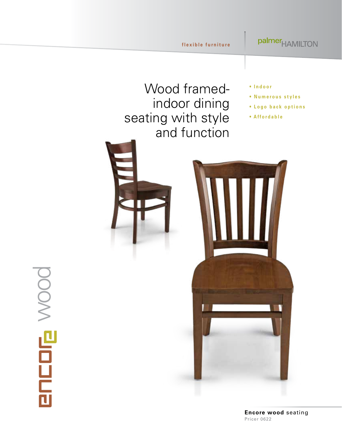palmer<sub>HAMILTON</sub>

# Wood framedindoor dining seating with style and function

- **Indoor**
- **Numerous styles**
- **Logo back options**
- **Affordable**



# **ENEDE WOOD**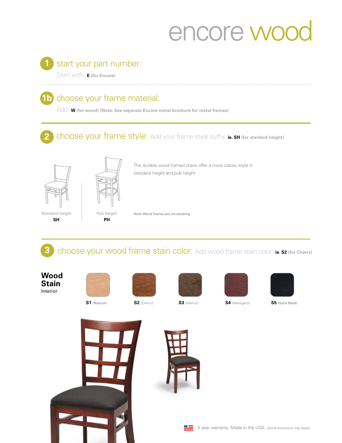# encore woo

### start your part number: **1**

Start with: **E (for Encore)**

# **1b** choose your frame material:

Add: **W (for wood) (Note: See separate Encore metal brochure for metal frames)**

### **2** choose your frame style: Add your frame style suffix: ie. SH (for stardard height) **2**



Non-stacking



The durable wood framed chairs offer a more classic style in standard height and pub height.

*rear legs) (foot rest)*



Note: Wood frames are nonstacking

**3** choose your wood frame stain color: Add wood frame stain color: **ie. s2** (for Cherry)

**Wood Stain** Interior









**S1** (Natural) **S2** (Cherry) **S3** (Walnut) **S4** (Mahogany) **S5** (Solid Black)

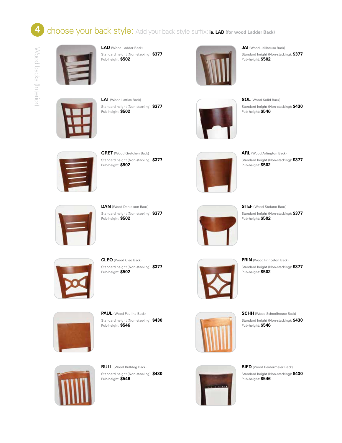# **4** choose your back style: Add your back style suffix: ie. LAD (for wood Ladder Back)



**LAD** (Wood Ladder Back) Standard height (Non-stacking): **\$377** Pub-height: **\$502**



**JAI** (Wood Jailhouse Back) Standard height (Non-stacking): **\$377** Pub-height: **\$502**



**LAT** (Wood Lattice Back) Standard height (Non-stacking): **\$377** Pub-height: **\$502**



**SOL** (Wood Solid Back) Standard height (Non-stacking): **\$430** Pub-height: **\$546**



**GRET** (Wood Gretchen Back) Standard height (Non-stacking): **\$377** Pub-height: **\$502**



**ARL** (Wood Arlington Back) Standard height (Non-stacking): **\$377** Pub-height: **\$502**



**DAN** (Wood Danielson Back) Standard height (Non-stacking): **\$377** Pub-height: **\$502**



**STEF** (Wood Stefano Back) Standard height (Non-stacking): **\$377** Pub-height: **\$502**



**CLEO** (Wood Cleo Back) Standard height (Non-stacking): **\$377** Pub-height: **\$502**



**PRIN** (Wood Princeton Back) Standard height (Non-stacking): **\$377** Pub-height: **\$502**



**PAUL** (Wood Paulina Back) Standard height (Non-stacking): **\$430** Pub-height: **\$546**



**SCHH** (Wood Schoolhouse Back) Standard height (Non-stacking): **\$430** Pub-height: **\$546**



**BULL** (Wood Bulldog Back) Standard height (Non-stacking): **\$430** Pub-height: **\$546**



**BIED** (Wood Beidermeier Back) Standard height (Non-stacking): **\$430** Pub-height: **\$546**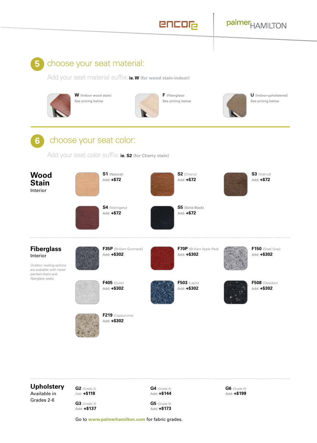

## choose your seat material:

Add your seat material suffix: **ie. W (for wood stain-indoor)**



**W** (Indoor wood stain) See pricing below



**F** (Fiberglass) See pricing below



**U** (Indoor-upholstered) See pricing below



Add your seat color suffix: **ie. S2 (for Cherry stain)**



**Upholstery**

Available in Grades 2-6

**G2** (Grade 2) Add: **+\$118 G3** (Grade 3) **G4** (Grade 4) Add: **+\$144**

**G6** (Grade 6) Add: **+\$199**

Add: **+\$137**

**G5** (Grade 5) Add: **+\$173**

Go to **[www.palmerhamilton.com](https://palmerhamilton.com)** for fabric grades.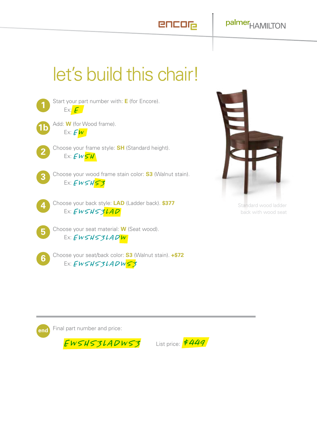encor

# let's build this chair!





Standard wood ladder back with wood seat